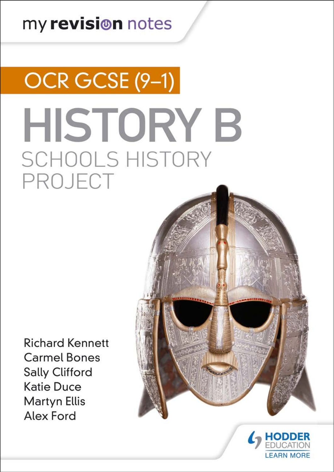# my revision notes

# OCR GCSE (9-1) **HISTORY B SCHOOLS HISTORY** PROJECT

**Richard Kennett Carmel Bones Sally Clifford Katie Duce Martyn Ellis** Alex Ford



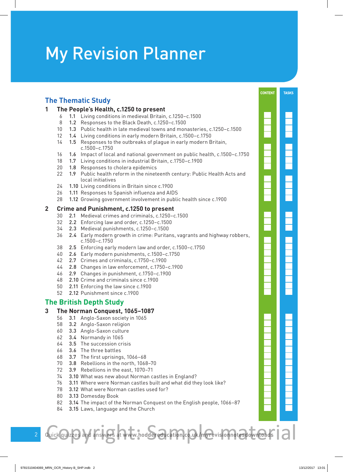# My Revision Planner

#### **CONTENT TASKS The Thematic Study The People's Health, c.1250 to present** 1.1 Living conditions in medieval Britain, c.1250–c.1500 1.2 Responses to the Black Death, c.1250–c.1500 1.3 Public health in late medieval towns and monasteries, c.1250–c.1500 1.4 Living conditions in early modern Britain, c.1500–c.1750 14 1.5 Responses to the outbreaks of plague in early modern Britain, c.1500–c.1750 1.6 Impact of local and national government on public health, c.1500–c.1750 1.7 Living conditions in industrial Britain, c.1750–c.1900 20 1.8 Responses to cholera epidemics 22 1.9 Public health reform in the nineteenth century: Public Health Acts and local initiatives 1.10 Living conditions in Britain since c.1900 1.11 Responses to Spanish influenza and AIDS 1.12 Growing government involvement in public health since c.1900 **Crime and Punishment, c.1250 to present** 2.1 Medieval crimes and criminals, c.1250–c.1500 2.2 Enforcing law and order, c.1250–c.1500 2.3 Medieval punishments, c.1250–c.1500 2.4 Early modern growth in crime: Puritans, vagrants and highway robbers, c.1500–c.1750 2.5 Enforcing early modern law and order, c.1500–c.1750 2.6 Early modern punishments, c.1500–c.1750 2.7 Crimes and criminals, c.1750–c.1900 2.8 Changes in law enforcement, c.1750–c.1900 2.9 Changes in punishment, c.1750–c.1900 2.10 Crime and criminals since c.1900 2.11 Enforcing the law since c.1900 2.12 Punishment since c.1900 **The British Depth Study The Norman Conquest, 1065–1087** 3.1 Anglo-Saxon society in 1065 3.2 Anglo-Saxon religion 3.3 Anglo-Saxon culture 3.4 Normandy in 1065 3.5 The succession crisis 3.6 The three battles 3.7 The first uprisings, 1066–68 3.8 Rebellions in the north, 1068–70 3.9 Rebellions in the east, 1070–71 3.10 What was new about Norman castles in England? 3.11 Where were Norman castles built and what did they look like? 3.12 What were Norman castles used for? 3.13 Domesday Book 82 3.14 The impact of the Norman Conquest on the English people, 1066-87 84 3.15 Laws, language and the Church Quick quizzes and answers at www.hoddereducation.co.uk/myrevisionnetestowntoads Quick quizzes and answers at **www.hoddereducation.co.uk/myrevisionnotesdownloads**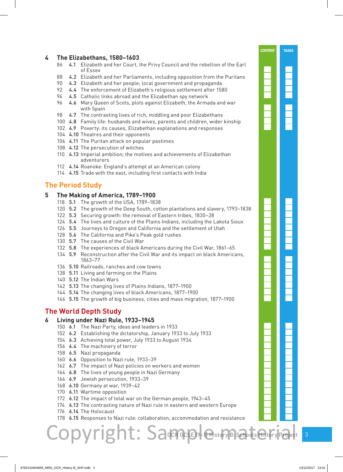#### **The Elizabethans, 1580–1603**

- 4.1 Elizabeth and her Court, the Privy Council and the rebellion of the Earl of Essex
- 4.2 Elizabeth and her Parliaments, including opposition from the Puritans
- 4.3 Elizabeth and her people; local government and propaganda
- 4.4 The enforcement of Elizabeth's religious settlement after 1580
- 94 4.5 Catholic links abroad and the Elizabethan spy network
- 4.6 Mary Queen of Scots, plots against Elizabeth, the Armada and war with Spain
- 98 4.7 The contrasting lives of rich, middling and poor Elizabethans
- 4.8 Family life: husbands and wives, parents and children, wider kinship
- 4.9 Poverty: its causes, Elizabethan explanations and responses
- 4.10 Theatres and their opponents
- 4.11 The Puritan attack on popular pastimes
- 4.12 The persecution of witches
- 4.13 Imperial ambition; the motives and achievements of Elizabethan adventurers
- 4.14 Roanoke: England's attempt at an American colony
- 4.15 Trade with the east, including first contacts with India

#### **The Period Study**

#### **The Making of America, 1789–1900**

- 5.1 The growth of the USA, 1789–1838
- 5.2 The growth of the Deep South, cotton plantations and slavery, 1793–1838
- 5.3 Securing growth: the removal of Eastern tribes, 1830–38
- 5.4 The lives and culture of the Plains Indians, including the Lakota Sioux
- 5.5 Journeys to Oregon and California and the settlement of Utah
- 5.6 The California and Pike's Peak gold rushes
- 5.7 The causes of the Civil War
- 5.8 The experiences of black Americans during the Civil War, 1861–65
- 5.9 Reconstruction after the Civil War and its impact on black Americans, 1863–77
- 5.10 Railroads, ranches and cow towns
- 138 5.11 Living and farming on the Plains
- 5.12 The Indian Wars
- 5.13 The changing lives of Plains Indians, 1877–1900
- 5.14 The changing lives of black Americans, 1877–1900
- 5.15 The growth of big business, cities and mass migration, 1877–1900

#### **The World Depth Study**

#### **Living under Nazi Rule, 1933–1945**

- 6.1 The Nazi Party, ideas and leaders in 1933
- 6.2 Establishing the dictatorship, January 1933 to July 1933
- 6.3 Achieving total power, July 1933 to August 1934
- 6.4 The machinery of terror
- 6.5 Nazi propaganda
- 6.6 Opposition to Nazi rule, 1933–39
- 6.7 The impact of Nazi policies on workers and women
- 6.8 The lives of young people in Nazi Germany
- 6.9 Jewish persecution, 1933–39
- 6.10 Germany at war, 1939–42
- 6.11 Wartime opposition
- 6.12 The impact of total war on the German people, 1943–45

Copyright: Samesist

- 174 6.13 The contrasting nature of Nazi rule in eastern and western Europe
- 6.14 The Holocaust
- 6.15 Responses to Nazi rule: collaboration, accommodation and resistance

**CONTENT TASKS**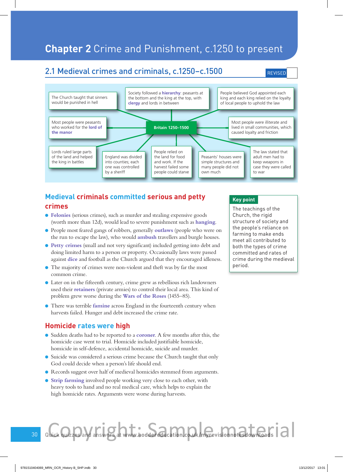# **Chapter 2** Crime and Punishment, c.1250 to present

## 2.1 Medieval crimes and criminals, c.1250–c.1500

**REVISED** 



#### **Medieval criminals committed serious and petty crimes**

- l **Felonies** (serious crimes), such as murder and stealing expensive goods (worth more than 12d), would lead to severe punishment such as **hanging**.
- l People most feared gangs of robbers, generally **outlaws** (people who were on the run to escape the law), who would **ambush** travellers and burgle houses.
- **Petty crimes** (small and not very significant) included getting into debt and doing limited harm to a person or property. Occasionally laws were passed against **dice** and football as the Church argued that they encouraged idleness.
- l The majority of crimes were non-violent and theft was by far the most common crime.
- l Later on in the fifteenth century, crime grew as rebellious rich landowners used their **retainers** (private armies) to control their local area. This kind of problem grew worse during the **Wars of the Roses** (1455–85).
- **There was terrible famine** across England in the fourteenth century when harvests failed. Hunger and debt increased the crime rate.

#### **Homicide rates were high**

- l Sudden deaths had to be reported to a **coroner**. A few months after this, the homicide case went to trial. Homicide included justifiable homicide, homicide in self-defence, accidental homicide, suicide and murder.
- Suicide was considered a serious crime because the Church taught that only God could decide when a person's life should end.
- l Records suggest over half of medieval homicides stemmed from arguments.
- **.** Strip farming involved people working very close to each other, with heavy tools to hand and no real medical care, which helps to explain the high homicide rates. Arguments were worse during harvests.

#### **Key point**

The teachings of the Church, the rigid structure of society and the people's reliance on farming to make ends meet all contributed to both the types of crime committed and rates of crime during the medieval period.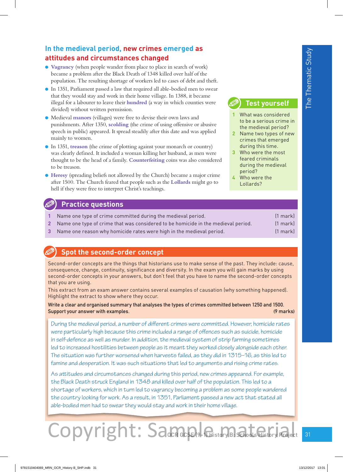## **In the medieval period, new crimes emerged as attitudes and circumstances changed**

- **Vagrancy** (when people wander from place to place in search of work) became a problem after the Black Death of 1348 killed over half of the population. The resulting shortage of workers led to cases of debt and theft.
- **IF 1351, Parliament passed a law that required all able-bodied men to swear** that they would stay and work in their home village. In 1388, it became illegal for a labourer to leave their **hundred** (a way in which counties were divided) without written permission.
- l Medieval **manors** (villages) were free to devise their own laws and punishments. After 1350, **scolding** (the crime of using offensive or abusive speech in public) appeared. It spread steadily after this date and was applied mainly to women.
- **•** In 1351, **treason** (the crime of plotting against your monarch or country) was clearly defined. It included a woman killing her husband, as men were thought to be the head of a family. **Counterfeiting** coins was also considered to be treason.
- **Heresy** (spreading beliefs not allowed by the Church) became a major crime after 1500. The Church feared that people such as the **Lollards** might go to hell if they were free to interpret Christ's teachings.

#### **Practice questions**

- **1** Name one type of crime committed during the medieval period. (1 mark)
- **2** Name one type of crime that was considered to be homicide in the medieval period. (1 mark)
- **3** Name one reason why homicide rates were high in the medieval period. (1 mark)

## **Spot the second-order concept**

Second-order concepts are the things that historians use to make sense of the past. They include: cause, consequence, change, continuity, significance and diversity. In the exam you will gain marks by using second-order concepts in your answers, but don't feel that you have to name the second-order concepts that you are using.

This extract from an exam answer contains several examples of causation (why something happened). Highlight the extract to show where they occur.

Write a clear and organised summary that analyses the types of crimes committed between 1250 and 1500. Support your answer with examples. (9 marks)

During the medieval period, a number of different crimes were committed. However, homicide rates were particularly high because this crime included a range of offences such as suicide, homicide in self-defence as well as murder. In addition, the medieval system of strip farming sometimes led to increased hostilities between people as it meant they worked closely alongside each other. The situation was further worsened when harvests failed, as they did in 1315–16, as this led to famine and desperation. It was such situations that led to arguments and rising crime rates.

As attitudes and circumstances changed during this period, new crimes appeared. For example, the Black Death struck England in 1348 and killed over half of the population. This led to a shortage of workers, which in turn led to vagrancy becoming a problem as some people wandered the country looking for work. As a result, in 1351, Parliament passed a new act that stated all able-bodied men had to swear they would stay and work in their home village.

# OCR GCSE (9-1) History B: Schools History Project Copyright: Samaple Gustal Copyring

## **Test yourself**

- **1** What was considered to be a serious crime in the medieval period?
- **2** Name two types of new crimes that emerged during this time.
- **3** Who were the most feared criminals during the medieval period?
- **4** Who were the Lollards?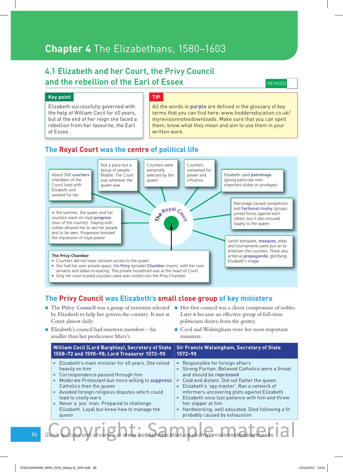# **Chapter 4** The Elizabethans, 1580–1603

## 4.1 Elizabeth and her Court, the Privy Council and the rebellion of the Earl of Essex

**REVISED** 

#### **Key point**

Elizabeth successfully governed with the help of William Cecil for 40 years, but at the end of her reign she faced a rebellion from her favourite, the Earl of Essex.

#### **TIP**

All the words in **purple** are defined in the glossary of key terms that you can find here: www.hoddereducation.co.uk/ myrevisionnotesdownloads. Make sure that you can spell them, know what they mean and aim to use them in your written work.

#### **The Royal Court was the centre of political life**



#### **The Privy Council was Elizabeth's small close group of key ministers**

- **The Privy Council** was a group of ministers selected  $\bullet$  Her first council was a clever compromise of nobles. by Elizabeth to help her govern the country. It met at Court almost daily.
- l Elizabeth's council had nineteen members far smaller than her predecessor Mary's.
- Later it became an effective group of full-time politicians drawn from the gentry.
- **•** Cecil and Walsingham were her most important ministers.

**William Cecil (Lord Burghley), Secretary of State 1558–72 and 1590–98; Lord Treasurer 1572–90 Sir Francis Walsingham, Secretary of State 1572–90 Elizabeth's main minister for 40 years. She relied** heavily on him **• Correspondence passed through him • Moderate Protestant but more willing to suppress** Catholics than the queen • Avoided foreign religious disputes which could lead to costly wars • Never a 'yes' man. Prepared to challenge Elizabeth. Loyal but knew how to manage the queen Responsible for foreign affairs **Strong Puritan. Believed Catholics were a threat** and should be **repressed** Cold and distant. Did not flatter the queen **Elizabeth's 'spy master'. Ran a network of** informers uncovering plots against Elizabeth **Elizabeth once lost patience with him and threw** her slipper at him **Hardworking, well educated. Died following a fit** probably caused by exhaustion

86 Quick quizzes and answers at **www.hoddereducation.co.uk/myrevisionnotesdownloads** Rock quizze and answers at www.hoodereducation.com/k/myrevisionnotestionnals | a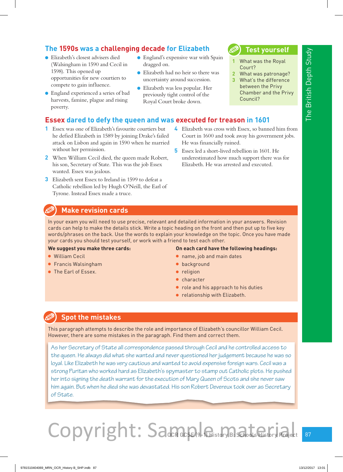# **The 1590s was a challenging decade for Elizabeth**

- **Elizabeth's closest advisers died** (Walsingham in 1590 and Cecil in 1598). This opened up opportunities for new courtiers to compete to gain influence.
- **•** England experienced a series of bad harvests, famine, plague and rising poverty.
- **•** England's expensive war with Spain dragged on.
- Elizabeth had no heir so there was uncertainty around succession.
- **Elizabeth was less popular. Her** previously tight control of the Royal Court broke down.

# **Test yourself**

- **1** What was the Royal Court?
- **2** What was patronage?
- **3** What's the difference between the Privy Chamber and the Privy Council?

**4** Elizabeth was cross with Essex, so banned him from Court in 1600 and took away his government jobs.

underestimated how much support there was for

**5** Essex led a short-lived rebellion in 1601. He

Elizabeth. He was arrested and executed.

#### **Essex dared to defy the queen and was executed for treason in 1601**

- **1** Essex was one of Elizabeth's favourite courtiers but he defied Elizabeth in 1589 by joining Drake's failed attack on Lisbon and again in 1590 when he married without her permission.
- **2** When William Cecil died, the queen made Robert, his son, Secretary of State. This was the job Essex wanted. Essex was jealous.
- **3** Elizabeth sent Essex to Ireland in 1599 to defeat a Catholic rebellion led by Hugh O'Neill, the Earl of Tyrone. Instead Essex made a truce.

# **Make revision cards**

In your exam you will need to use precise, relevant and detailed information in your answers. Revision cards can help to make the details stick. Write a topic heading on the front and then put up to five key words/phrases on the back. Use the words to explain your knowledge on the topic. Once you have made your cards you should test yourself, or work with a friend to test each other.

#### **We suggest you make three cards:**

- **.** William Cecil
- **•** Francis Walsingham
- **The Earl of Essex.**

#### **On each card have the following headings:**

**•** name, job and main dates

He was financially ruined.

- **·** background
- **•** religion
- **character**
- role and his approach to his duties
- **•** relationship with Elizabeth.

## **Spot the mistakes**

This paragraph attempts to describe the role and importance of Elizabeth's councillor William Cecil. However, there are some mistakes in the paragraph. Find them and correct them.

As her Secretary of State all correspondence passed through Cecil and he controlled access to the queen. He always did what she wanted and never questioned her judgement because he was so loyal. Like Elizabeth he was very cautious and wanted to avoid expensive foreign wars. Cecil was a strong Puritan who worked hard as Elizabeth's spymaster to stamp out Catholic plots. He pushed her into signing the death warrant for the execution of Mary Queen of Scots and she never saw him again. But when he died she was devastated. His son Robert Devereux took over as Secretary of State.

# OCR GCSE (9-1) History B: Schools History Project Copyright: Samaple Gust Material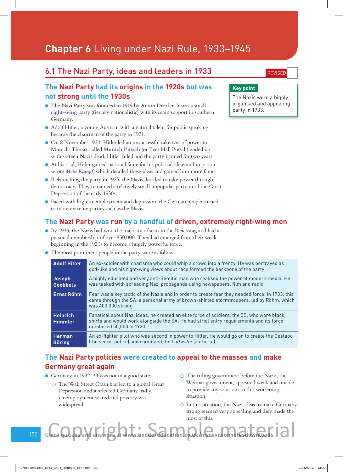# **Chapter 6** Living under Nazi Rule, 1933–1945

## 6.1 The Nazi Party, ideas and leaders in 1933

#### **The Nazi Party had its origins in the 1920s but was not strong until the 1930s**

- l The Nazi Party was founded in 1919 by Anton Drexler. It was a small **right-wing** party (fiercely nationalistic) with its main support in southern Germany.
- l Adolf Hitler, a young Austrian with a natural talent for public speaking, became the chairman of the party in 1921.
- l On 8 November 1923, Hitler led an unsuccessful takeover of power in Munich. The so-called **Munich Putsch** (or Beer Hall Putsch) ended up with sixteen Nazis dead, Hitler jailed and the party banned for two years.
- l At his trial, Hitler gained national fame for his political ideas and in prison wrote *Mein Kampf*, which detailed these ideas and gained him more fame.
- Relaunching the party in 1925, the Nazis decided to take power through democracy. They remained a relatively small unpopular party until the Great Depression of the early 1930s.
- l Faced with high unemployment and depression, the German people turned to more extreme parties such as the Nazis.

#### **The Nazi Party was run by a handful of driven, extremely right-wing men**

- l By 1933, the Nazis had won the majority of seats in the Reichstag and had a personal membership of over 850,000. They had emerged from their weak beginning in the 1920s to become a hugely powerful force.
- l The most prominent people in the party were as follows:

| <b>Adolf Hitler</b>               | An ex-soldier with charisma who could whip a crowd into a frenzy. He was portrayed as<br>god-like and his right-wing views about race formed the backbone of the party                                           |
|-----------------------------------|------------------------------------------------------------------------------------------------------------------------------------------------------------------------------------------------------------------|
| <b>Joseph</b><br><b>Goebbels</b>  | A highly educated and very anti-Semitic man who realised the power of modern media. He<br>was tasked with spreading Nazi propaganda using newspapers, film and radio                                             |
| <b>Ernst Röhm</b>                 | Fear was a key tactic of the Nazis and in order to create fear they needed force. In 1933, this<br>came through the SA, a personal army of brown-shirted stormtroopers, led by Röhm, which<br>was 400,000 strong |
| <b>Heinrich</b><br><b>Himmler</b> | Fanatical about Nazi ideas, he created an elite force of soldiers, the SS, who wore black<br>shirts and would work alongside the SA. He had strict entry requirements and its force<br>numbered 50,000 in 1933   |
| <b>Herman</b><br>Göring           | An ex-fighter pilot who was second in power to Hitler. He would go on to create the Gestapo<br>(the secret police) and command the Luftwaffe (air force)                                                         |

### **The Nazi Party policies were created to appeal to the masses and make Germany great again**

- l Germany in 1932–33 was not in a good state:
	- The Wall Street Crash had led to a global Great Depression and it affected Germany badly. Unemployment soared and poverty was widespread.
- The ruling government before the Nazis, the Weimar government, appeared weak and unable to provide any solutions to this worsening situation.
- $\circ$  In this situation, the Nazi ideas to make Germany strong seemed very appealing and they made the most of this. Rock quizze and answers at www.hoodereducation.com/k/myrevisionnotestionnals | a

**REVISED** 

#### **Key point**

The Nazis were a highly organised and appealing party in 1933.

150 Quick quizzes and answers at **www.hoddereducation.co.uk/myrevisionnotesdownloads**